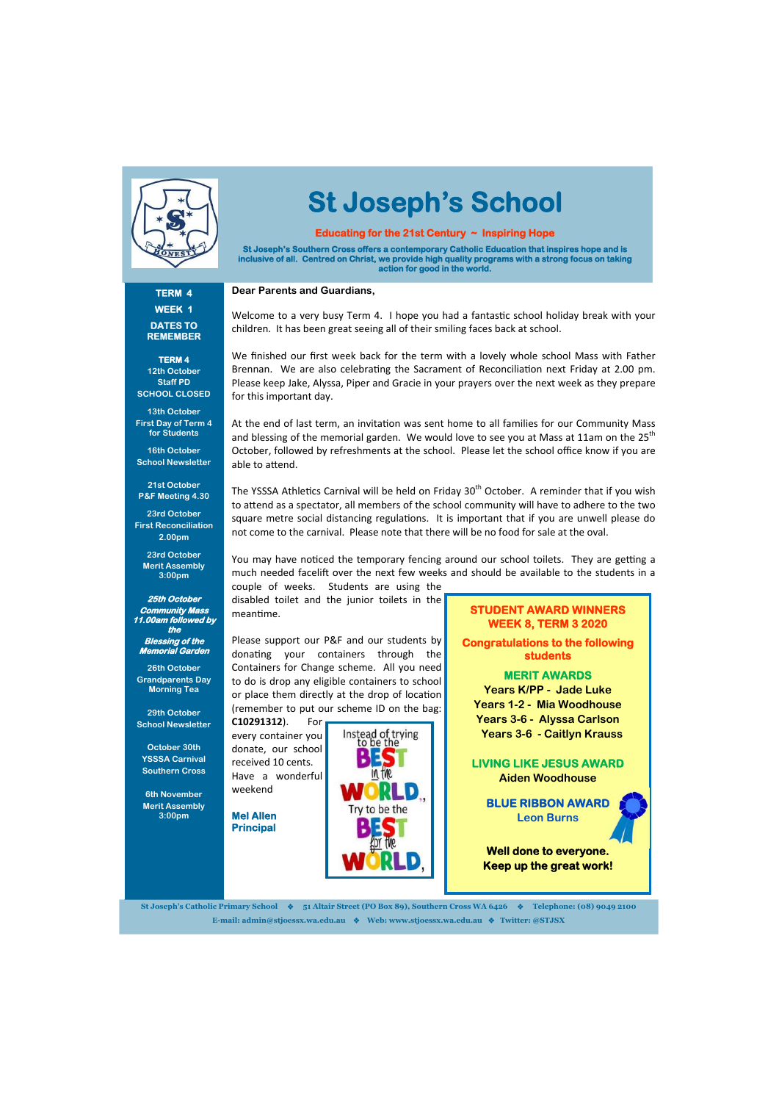

# **St Joseph's School**

#### **TERM 4 WEEK 1 DATES TO REMEMBER**

**TERM 4 12th October Staff PD SCHOOL CLOSED** 

**13th October First Day of Term 4 for Students** 

**16th October School Newsletter** 

#### **21st October P&F Meeting 4.30**

**23rd October First Reconciliation 2.00pm** 

**23rd October Merit Assembly 3:00pm** 

**25th October Community Mass 11.00am followed by the Blessing of the Memorial Garden** 

**26th October Grandparents Day Morning Tea** 

**29th October School Newsletter** 

**October 30th YSSSA Carnival Southern Cross** 

**6th November Merit Assembly 3:00pm** 

#### **Educating for the 21st Century ~ Inspiring Hope**

**St Joseph's Southern Cross offers a contemporary Catholic Education that inspires hope and is inclusive of all. Centred on Christ, we provide high quality programs with a strong focus on taking action for good in the world.** 

**Dear Parents and Guardians,** 

The YSSSA Athletics Carnival will be held on Friday 30<sup>th</sup> October. A reminder that if you wish to attend as a spectator, all members of the school community will have to adhere to the two square metre social distancing regulations. It is important that if you are unwell please do not come to the carnival. Please note that there will be no food for sale at the oval.

You may have noticed the temporary fencing around our school toilets. They are getting a much needed facelift over the next few weeks and should be available to the students in a

children. It has been great seeing all of their smiling faces back at school.

At the end of last term, an invitation was sent home to all families for our Community Mass and blessing of the memorial garden. We would love to see you at Mass at 11am on the 25<sup>th</sup> October, followed by refreshments at the school. Please let the school office know if you are able to attend.

couple of weeks. Students are using the disabled toilet and the junior toilets in the meantime.

We finished our first week back for the term with a lovely whole school Mass with Father Brennan. We are also celebrating the Sacrament of Reconciliation next Friday at 2.00 pm. Please keep Jake, Alyssa, Piper and Gracie in your prayers over the next week as they prepare for this important day.

Welcome to a very busy Term 4. I hope you had a fantastic school holiday break with your

Please support our P&F and our students by donating your containers through the Containers for Change scheme. All you need to do is drop any eligible containers to school or place them directly at the drop of location (remember to put our scheme ID on the bag:

**C10291312**). For every container you donate, our school received 10 cents. Have a wonderful weekend

**Mel Allen Principal** 



**St Joseph's Catholic Primary School 51 Altair Street (PO Box 89), Southern Cross WA 6426 Telephone: (08) 9049 2100 E-mail: admin@stjoessx.wa.edu.au Web: www.stjoessx.wa.edu.au Twitter: @STJSX** 

#### **STUDENT AWARD WINNERS WEEK 8, TERM 3 2020**

**Congratulations to the following students** 

#### **MERIT AWARDS**

**Years K/PP - Jade Luke Years 1-2 - Mia Woodhouse Years 3-6 - Alyssa Carlson Years 3-6 - Caitlyn Krauss** 

**LIVING LIKE JESUS AWARD Aiden Woodhouse** 

**BLUE RIBBON AWARD Leon Burns** 

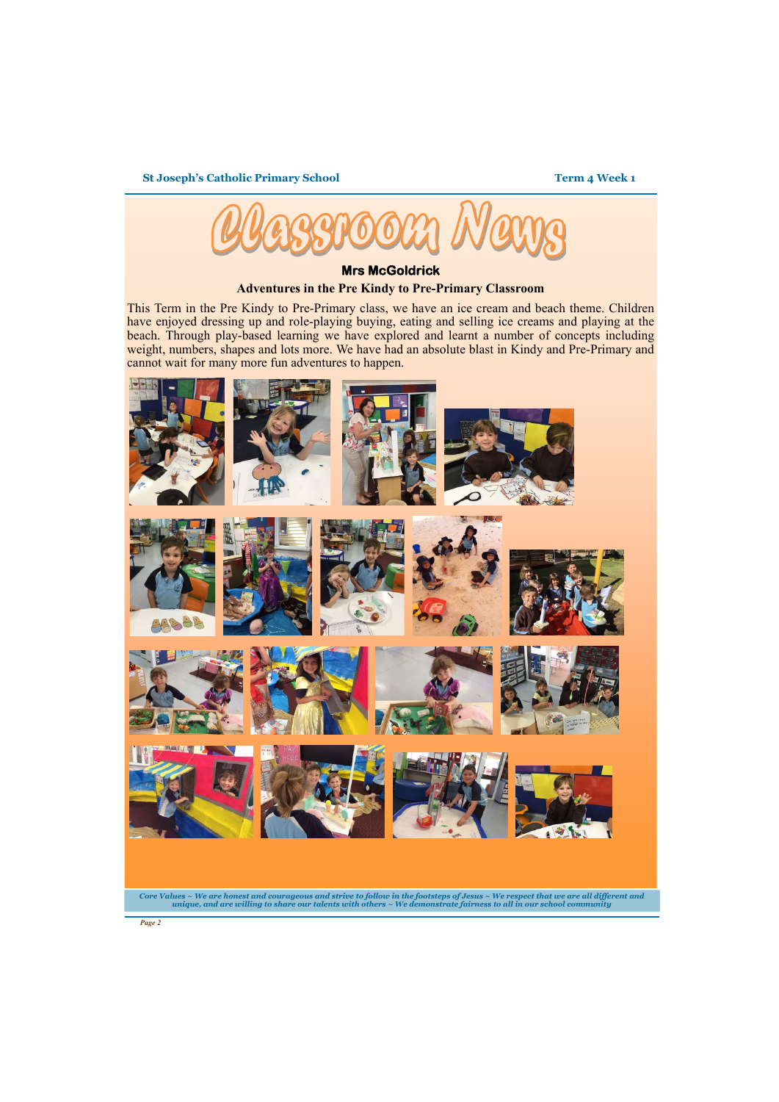**St Joseph's Catholic Primary School** 

*Page 2* 







**Mrs McGoldrick** 

#### **Adventures in the Pre Kindy to Pre-Primary Classroom**

This Term in the Pre Kindy to Pre-Primary class, we have an ice cream and beach theme. Children have enjoyed dressing up and role-playing buying, eating and selling ice creams and playing at the beach. Through play-based learning we have explored and learnt a number of concepts including weight, numbers, shapes and lots more. We have had an absolute blast in Kindy and Pre-Primary and cannot wait for many more fun adventures to happen.

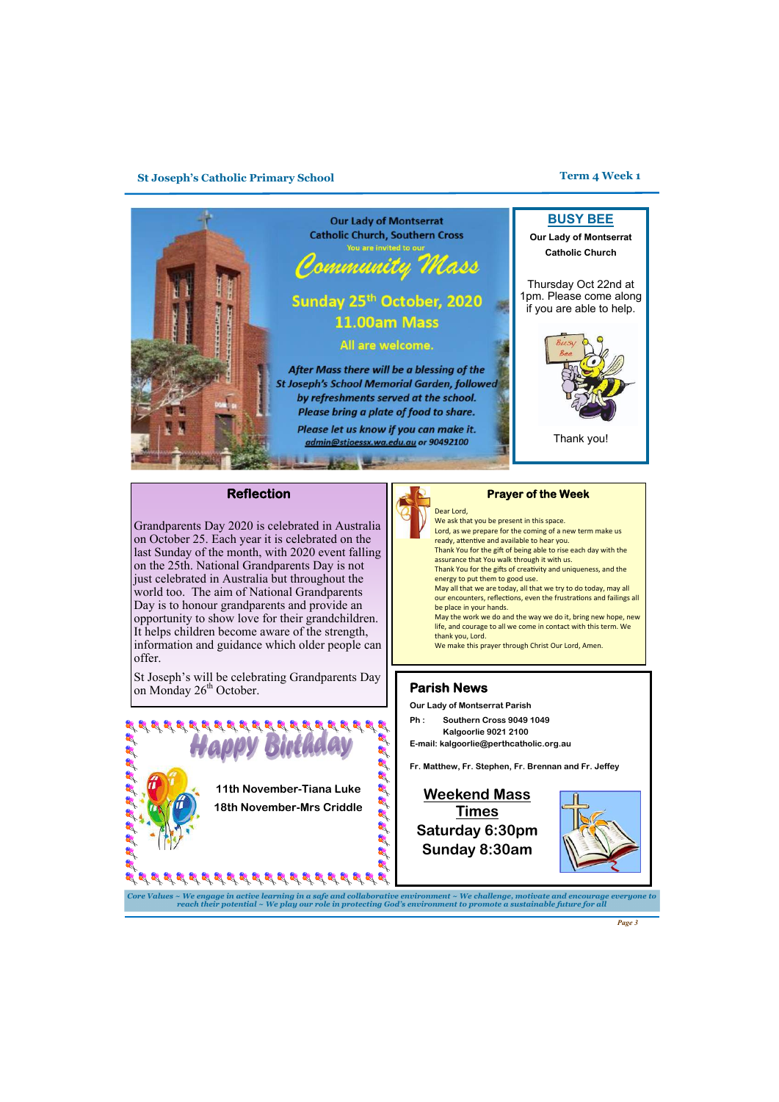*Page 3* 

*Core Values ~ We engage in active learning in a safe and collaborative environment ~ We challenge, motivate and encourage everyone to reach their potential ~ We play our role in protecting God's environment to promote a sustainable future for all* 

#### **Parish News**

**Our Lady of Montserrat Parish** 

**Ph : Southern Cross 9049 1049 Kalgoorlie 9021 2100** 

**E-mail: kalgoorlie@perthcatholic.org.au** 

**Fr. Matthew, Fr. Stephen, Fr. Brennan and Fr. Jeffey**



St Joseph's will be celebrating Grandparents Day on Monday  $26<sup>th</sup>$  October.

> **Weekend Mass Times Saturday 6:30pm**





**Sunday 8:30am** 

#### **Reflection**

Grandparents Day 2020 is celebrated in Australia on October 25. Each year it is celebrated on the last Sunday of the month, with 2020 event falling on the 25th. National Grandparents Day is not just celebrated in Australia but throughout the world too. The aim of National Grandparents Day is to honour grandparents and provide an opportunity to show love for their grandchildren. It helps children become aware of the strength, information and guidance which older people can offer.

#### **Prayer of the Week**

 We ask that you be present in this space.



- Lord, as we prepare for the coming of a new term make us ready, attentive and available to hear you.
- Thank You for the gift of being able to rise each day with the assurance that You walk through it with us.
- Thank You for the gifts of creativity and uniqueness, and the energy to put them to good use.
- May all that we are today, all that we try to do today, may all our encounters, reflections, even the frustrations and failings all be place in your hands.
- May the work we do and the way we do it, bring new hope, new life, and courage to all we come in contact with this term. We thank you, Lord.

We make this prayer through Christ Our Lord, Amen.

#### **St Joseph's Catholic Primary School Term 4 Week 1**